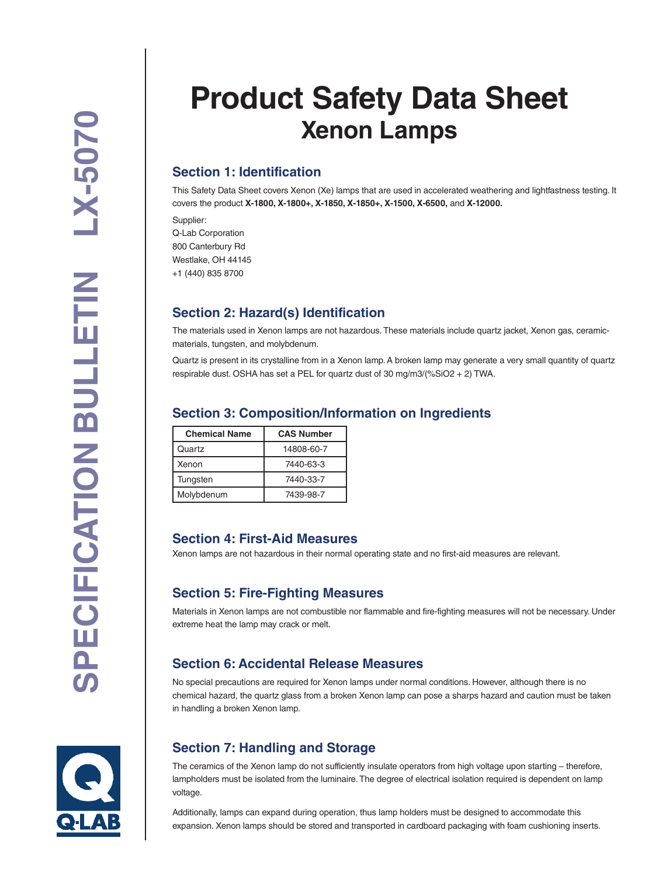# **Product Safety Data Sheet Xenon Lamps**

# **Section 1: Identification**

This Safety Data Sheet covers Xenon (Xe) lamps that are used in accelerated weathering and lightfastness testing. It covers the product **X-1800, X-1800+, X-1850, X-1850+, X-1500, X-6500,** and **X-12000.**

Supplier: Q-Lab Corporation 800 Canterbury Rd Westlake, OH 44145 +1 (440) 835 8700

## **Section 2: Hazard(s) Identification**

The materials used in Xenon lamps are not hazardous. These materials include quartz jacket, Xenon gas, ceramicmaterials, tungsten, and molybdenum.

Quartz is present in its crystalline from in a Xenon lamp. A broken lamp may generate a very small quantity of quartz respirable dust. OSHA has set a PEL for quartz dust of 30 mg/m3/(%SiO2 + 2) TWA.

## **Section 3: Composition/Information on Ingredients**

| <b>Chemical Name</b> | <b>CAS Number</b> |
|----------------------|-------------------|
| Quartz               | 14808-60-7        |
| Xenon                | 7440-63-3         |
| Tungsten             | 7440-33-7         |
| Molybdenum           | 7439-98-7         |

#### **Section 4: First-Aid Measures**

Xenon lamps are not hazardous in their normal operating state and no first-aid measures are relevant.

## **Section 5: Fire-Fighting Measures**

Materials in Xenon lamps are not combustible nor flammable and fire-fighting measures will not be necessary. Under extreme heat the lamp may crack or melt.

#### **Section 6: Accidental Release Measures**

No special precautions are required for Xenon lamps under normal conditions. However, although there is no chemical hazard, the quartz glass from a broken Xenon lamp can pose a sharps hazard and caution must be taken in handling a broken Xenon lamp.

# **Section 7: Handling and Storage**

The ceramics of the Xenon lamp do not sufficiently insulate operators from high voltage upon starting – therefore, lampholders must be isolated from the luminaire. The degree of electrical isolation required is dependent on lamp voltage.

Additionally, lamps can expand during operation, thus lamp holders must be designed to accommodate this expansion. Xenon lamps should be stored and transported in cardboard packaging with foam cushioning inserts.